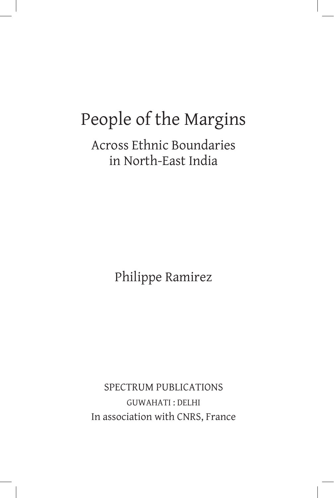Across Ethnic Boundaries in North-East India

Philippe Ramirez

SPECTRUM PUBLICATIONS GUWAHATI : DELHI In association with CNRS, France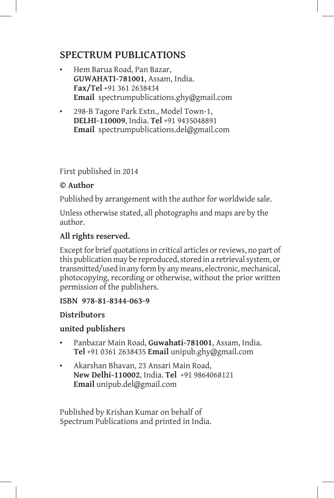## **SPECTRUM PUBLICATIONS**

- Hem Barua Road, Pan Bazar, **GUWAHATI-781001**, Assam, India. **Fax/Tel** +91 361 2638434 **Email** spectrumpublications.ghy@gmail.com
- 298-B Tagore Park Extn., Model Town-1, **DELHI-110009**, India. **Tel** +91 9435048891 **Email** spectrumpublications.del@gmail.com

First published in 2014

## **© Author**

Published by arrangement with the author for worldwide sale.

Unless otherwise stated, all photographs and maps are by the author.

## **All rights reserved.**

Except for brief quotations in critical articles or reviews, no part of this publication may be reproduced, stored in a retrieval system, or transmitted/used in any form by any means, electronic, mechanical, photocopying, recording or otherwise, without the prior written permission of the publishers.

## **ISBN 978-81-8344-063-9**

## **Distributors**

## **united publishers**

- Panbazar Main Road, Guwahati-781001, Assam, India. **Tel** +91 0361 2638435 **Email** unipub.ghy@gmail.com
- • Akarshan Bhavan, 23 Ansari Main Road, **New Delhi-110002**, India. **Tel** +91 9864068121 **Email** unipub.del@gmail.com

Published by Krishan Kumar on behalf of Spectrum Publications and printed in India.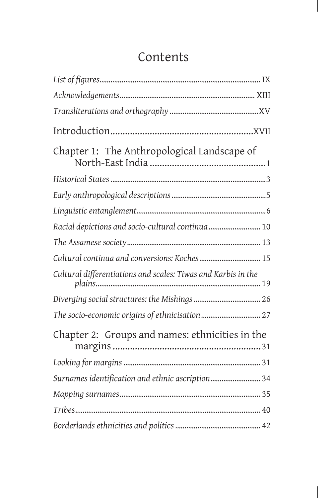## Contents

| Chapter 1: The Anthropological Landscape of                   |
|---------------------------------------------------------------|
|                                                               |
|                                                               |
|                                                               |
| Racial depictions and socio-cultural continua  10             |
|                                                               |
| Cultural continua and conversions: Koches 15                  |
| Cultural differentiations and scales: Tiwas and Karbis in the |
|                                                               |
|                                                               |
| Chapter 2: Groups and names: ethnicities in the               |
|                                                               |
| Surnames identification and ethnic ascription 34              |
|                                                               |
|                                                               |
|                                                               |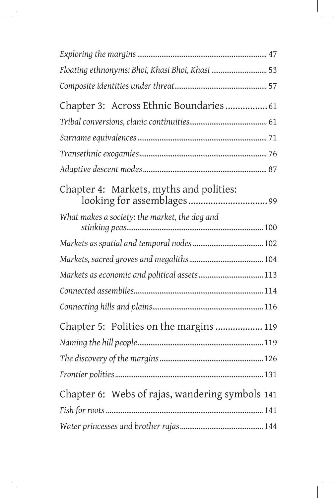| Floating ethnonyms: Bhoi, Khasi Bhoi, Khasi  53 |
|-------------------------------------------------|
|                                                 |
| Chapter 3: Across Ethnic Boundaries 61          |
|                                                 |
|                                                 |
|                                                 |
|                                                 |
| Chapter 4: Markets, myths and polities:         |
| What makes a society: the market, the dog and   |
|                                                 |
|                                                 |
|                                                 |
|                                                 |
|                                                 |
| Chapter 5: Polities on the margins  119         |
|                                                 |
|                                                 |
|                                                 |
| Chapter 6: Webs of rajas, wandering symbols 141 |
|                                                 |
|                                                 |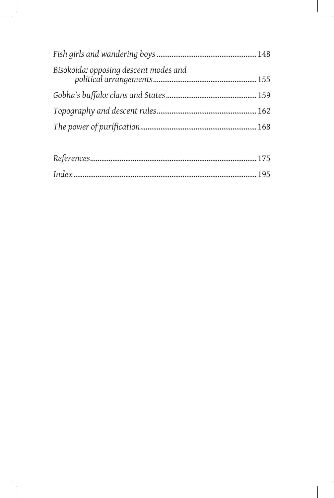| Bisokoida: opposing descent modes and |  |
|---------------------------------------|--|
|                                       |  |
|                                       |  |
|                                       |  |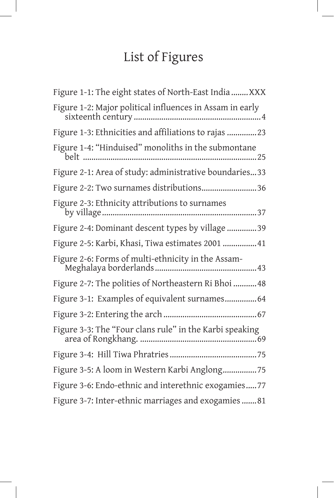## List of Figures

| Figure 1-1: The eight states of North-East India  XXX    |
|----------------------------------------------------------|
| Figure 1-2: Major political influences in Assam in early |
| Figure 1-3: Ethnicities and affiliations to rajas  23    |
| Figure 1-4: "Hinduised" monoliths in the submontane      |
| Figure 2-1: Area of study: administrative boundaries33   |
| Figure 2-2: Two surnames distributions36                 |
| Figure 2-3: Ethnicity attributions to surnames           |
| Figure 2-4: Dominant descent types by village 39         |
| Figure 2-5: Karbi, Khasi, Tiwa estimates 2001  41        |
| Figure 2-6: Forms of multi-ethnicity in the Assam-       |
| Figure 2-7: The polities of Northeastern Ri Bhoi 48      |
| Figure 3-1: Examples of equivalent surnames 64           |
|                                                          |
| Figure 3-3: The "Four clans rule" in the Karbi speaking  |
|                                                          |
| Figure 3-5: A loom in Western Karbi Anglong 75           |
| Figure 3-6: Endo-ethnic and interethnic exogamies77      |
| Figure 3-7: Inter-ethnic marriages and exogamies 81      |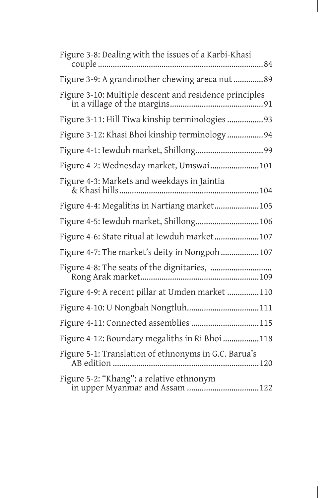| Figure 3-8: Dealing with the issues of a Karbi-Khasi   |
|--------------------------------------------------------|
| Figure 3-9: A grandmother chewing areca nut  89        |
| Figure 3-10: Multiple descent and residence principles |
| Figure 3-11: Hill Tiwa kinship terminologies  93       |
| Figure 3-12: Khasi Bhoi kinship terminology 94         |
|                                                        |
| Figure 4-2: Wednesday market, Umswai  101              |
| Figure 4-3: Markets and weekdays in Jaintia            |
| Figure 4-4: Megaliths in Nartiang market 105           |
| Figure 4-5: Iewduh market, Shillong 106                |
| Figure 4-6: State ritual at Iewduh market 107          |
| Figure 4-7: The market's deity in Nongpoh  107         |
| Figure 4-8: The seats of the dignitaries,              |
| Figure 4-9: A recent pillar at Umden market 110        |
|                                                        |
| Figure 4-11: Connected assemblies 115                  |
| Figure 4-12: Boundary megaliths in Ri Bhoi 118         |
| Figure 5-1: Translation of ethnonyms in G.C. Barua's   |
| Figure 5-2: "Khang": a relative ethnonym               |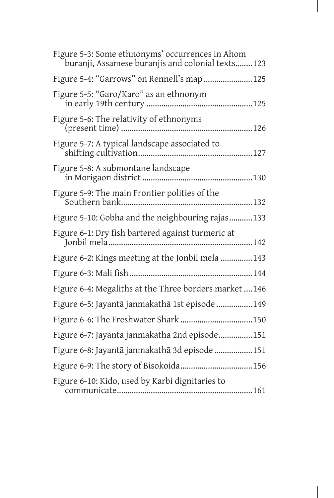| Figure 5-3: Some ethnonyms' occurrences in Ahom<br>buranji, Assamese buranjis and colonial texts 123 |
|------------------------------------------------------------------------------------------------------|
| Figure 5-4: "Garrows" on Rennell's map  125                                                          |
| Figure 5-5: "Garo/Karo" as an ethnonym                                                               |
| Figure 5-6: The relativity of ethnonyms                                                              |
| Figure 5-7: A typical landscape associated to                                                        |
| Figure 5-8: A submontane landscape                                                                   |
| Figure 5-9: The main Frontier polities of the                                                        |
| Figure 5-10: Gobha and the neighbouring rajas133                                                     |
| Figure 6-1: Dry fish bartered against turmeric at                                                    |
| Figure 6-2: Kings meeting at the Jonbil mela 143                                                     |
|                                                                                                      |
| Figure 6-4: Megaliths at the Three borders market  146                                               |
| Figure 6-5: Jayantā janmakathā 1st episode 149                                                       |
| Figure 6-6: The Freshwater Shark  150                                                                |
| Figure 6-7: Jayantā janmakathā 2nd episode151                                                        |
| Figure 6-8: Jayantā janmakathā 3d episode 151                                                        |
| Figure 6-9: The story of Bisokoida  156                                                              |
| Figure 6-10: Kido, used by Karbi dignitaries to                                                      |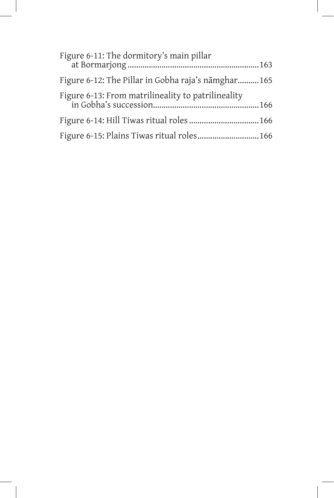| Figure 6-11: The dormitory's main pillar           |  |
|----------------------------------------------------|--|
| Figure 6-12: The Pillar in Gobha raja's nāmghar165 |  |
| Figure 6-13: From matrilineality to patrilineality |  |
| Figure 6-14: Hill Tiwas ritual roles 166           |  |
| Figure 6-15: Plains Tiwas ritual roles 166         |  |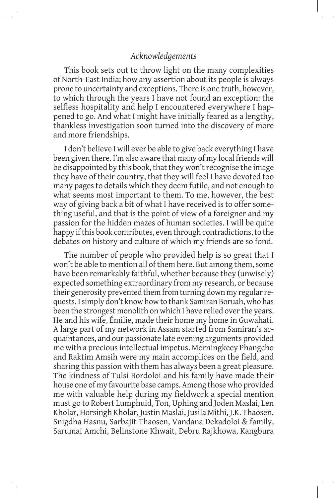#### *Acknowledgements*

This book sets out to throw light on the many complexities of North-East India; how any assertion about its people is always prone to uncertainty and exceptions. There is one truth, however, to which through the years I have not found an exception: the selfless hospitality and help I encountered everywhere I happened to go. And what I might have initially feared as a lengthy, thankless investigation soon turned into the discovery of more and more friendships.

I don't believe I will ever be able to give back everything I have been given there. I'm also aware that many of my local friends will be disappointed by this book, that they won't recognise the image they have of their country, that they will feel I have devoted too many pages to details which they deem futile, and not enough to what seems most important to them. To me, however, the best way of giving back a bit of what I have received is to offer something useful, and that is the point of view of a foreigner and my passion for the hidden mazes of human societies. I will be quite happy if this book contributes, even through contradictions, to the debates on history and culture of which my friends are so fond.

The number of people who provided help is so great that I won't be able to mention all of them here. But among them, some have been remarkably faithful, whether because they (unwisely) expected something extraordinary from my research, or because their generosity prevented them from turning down my regular requests. I simply don't know how to thank Samiran Boruah, who has been the strongest monolith on which I have relied over the years. He and his wife, Émilie, made their home my home in Guwahati. A large part of my network in Assam started from Samiran's acquaintances, and our passionate late evening arguments provided me with a precious intellectual impetus. Morningkeey Phangcho and Raktim Amsih were my main accomplices on the field, and sharing this passion with them has always been a great pleasure. The kindness of Tulsi Bordoloi and his family have made their house one of my favourite base camps. Among those who provided me with valuable help during my fieldwork a special mention must go to Robert Lumphuid, Ton, Uphing and Joden Maslai, Len Kholar, Horsingh Kholar, Justin Maslai, Jusila Mithi, J.K. Thaosen, Snigdha Hasnu, Sarbajit Thaosen, Vandana Dekadoloi & family, Sarumai Amchi, Belinstone Khwait, Debru Rajkhowa, Kangbura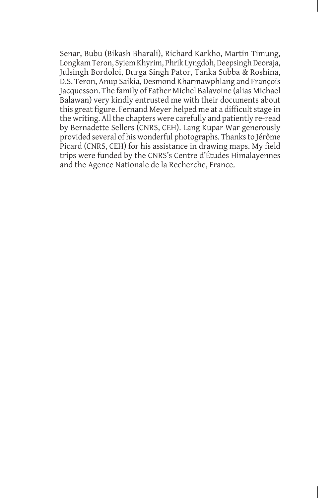Senar, Bubu (Bikash Bharali), Richard Karkho, Martin Timung, Longkam Teron, Syiem Khyrim, Phrik Lyngdoh, Deepsingh Deoraja, Julsingh Bordoloi, Durga Singh Pator, Tanka Subba & Roshina, D.S. Teron, Anup Saikia, Desmond Kharmawphlang and François Jacquesson. The family of Father Michel Balavoine (alias Michael Balawan) very kindly entrusted me with their documents about this great figure. Fernand Meyer helped me at a difficult stage in the writing. All the chapters were carefully and patiently re-read by Bernadette Sellers (CNRS, CEH). Lang Kupar War generously provided several of his wonderful photographs. Thanks to Jérôme Picard (CNRS, CEH) for his assistance in drawing maps. My field trips were funded by the CNRS's Centre d'Études Himalayennes and the Agence Nationale de la Recherche, France.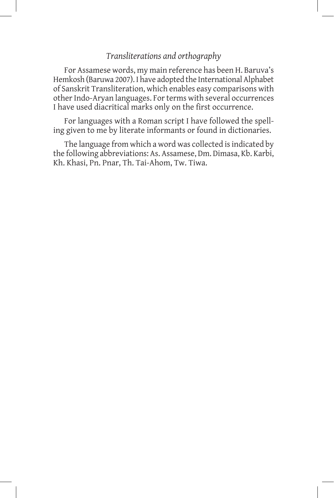#### *Transliterations and orthography*

For Assamese words, my main reference has been H. Baruva's Hemkosh (Baruwa 2007). I have adopted the International Alphabet of Sanskrit Transliteration, which enables easy comparisons with other Indo-Aryan languages. For terms with several occurrences I have used diacritical marks only on the first occurrence.

For languages with a Roman script I have followed the spelling given to me by literate informants or found in dictionaries.

The language from which a word was collected is indicated by the following abbreviations: As. Assamese, Dm. Dimasa, Kb. Karbi, Kh. Khasi, Pn. Pnar, Th. Tai-Ahom, Tw. Tiwa.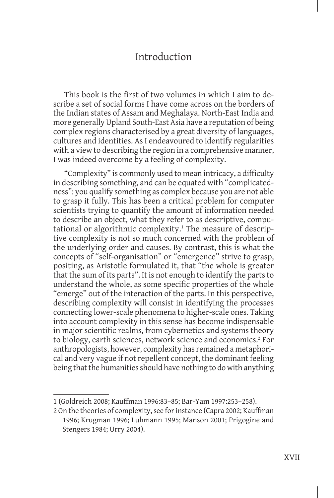### Introduction

This book is the first of two volumes in which I aim to describe a set of social forms I have come across on the borders of the Indian states of Assam and Meghalaya. North-East India and more generally Upland South-East Asia have a reputation of being complex regions characterised by a great diversity of languages, cultures and identities. As I endeavoured to identify regularities with a view to describing the region in a comprehensive manner, I was indeed overcome by a feeling of complexity.

"Complexity" is commonly used to mean intricacy, a difficulty in describing something, and can be equated with "complicatedness": you qualify something as complex because you are not able to grasp it fully. This has been a critical problem for computer scientists trying to quantify the amount of information needed to describe an object, what they refer to as descriptive, computational or algorithmic complexity.<sup>1</sup> The measure of descriptive complexity is not so much concerned with the problem of the underlying order and causes. By contrast, this is what the concepts of "self-organisation" or "emergence" strive to grasp, positing, as Aristotle formulated it, that "the whole is greater that the sum of its parts". It is not enough to identify the parts to understand the whole, as some specific properties of the whole "emerge" out of the interaction of the parts. In this perspective, describing complexity will consist in identifying the processes connecting lower-scale phenomena to higher-scale ones. Taking into account complexity in this sense has become indispensable in major scientific realms, from cybernetics and systems theory to biology, earth sciences, network science and economics.2 For anthropologists, however, complexity has remained a metaphorical and very vague if not repellent concept, the dominant feeling being that the humanities should have nothing to do with anything

<sup>1 (</sup>Goldreich 2008; Kauffman 1996:83–85; Bar-Yam 1997:253–258).

<sup>2</sup> On the theories of complexity, see for instance (Capra 2002; Kauffman 1996; Krugman 1996; Luhmann 1995; Manson 2001; Prigogine and Stengers 1984; Urry 2004).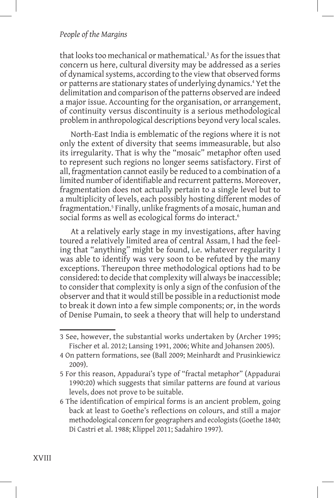that looks too mechanical or mathematical.3 As for the issues that concern us here, cultural diversity may be addressed as a series of dynamical systems, according to the view that observed forms or patterns are stationary states of underlying dynamics.4 Yet the delimitation and comparison of the patterns observed are indeed a major issue. Accounting for the organisation, or arrangement, of continuity versus discontinuity is a serious methodological problem in anthropological descriptions beyond very local scales.

North-East India is emblematic of the regions where it is not only the extent of diversity that seems immeasurable, but also its irregularity. That is why the "mosaic" metaphor often used to represent such regions no longer seems satisfactory. First of all, fragmentation cannot easily be reduced to a combination of a limited number of identifiable and recurrent patterns. Moreover, fragmentation does not actually pertain to a single level but to a multiplicity of levels, each possibly hosting different modes of fragmentation.5 Finally, unlike fragments of a mosaic, human and social forms as well as ecological forms do interact.<sup>6</sup>

At a relatively early stage in my investigations, after having toured a relatively limited area of central Assam, I had the feeling that "anything" might be found, i.e. whatever regularity I was able to identify was very soon to be refuted by the many exceptions. Thereupon three methodological options had to be considered: to decide that complexity will always be inaccessible; to consider that complexity is only a sign of the confusion of the observer and that it would still be possible in a reductionist mode to break it down into a few simple components; or, in the words of Denise Pumain, to seek a theory that will help to understand

- 5 For this reason, Appadurai's type of "fractal metaphor" (Appadurai 1990:20) which suggests that similar patterns are found at various levels, does not prove to be suitable.
- 6 The identification of empirical forms is an ancient problem, going back at least to Goethe's reflections on colours, and still a major methodological concern for geographers and ecologists (Goethe 1840; Di Castri et al. 1988; Klippel 2011; Sadahiro 1997).

<sup>3</sup> See, however, the substantial works undertaken by (Archer 1995; Fischer et al. 2012; Lansing 1991, 2006; White and Johansen 2005).

<sup>4</sup> On pattern formations, see (Ball 2009; Meinhardt and Prusinkiewicz 2009).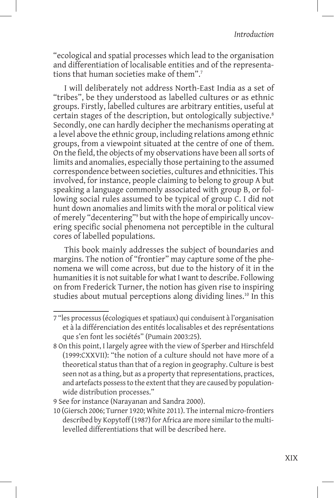"ecological and spatial processes which lead to the organisation and differentiation of localisable entities and of the representations that human societies make of them".7

I will deliberately not address North-East India as a set of "tribes", be they understood as labelled cultures or as ethnic groups. Firstly, labelled cultures are arbitrary entities, useful at certain stages of the description, but ontologically subjective.<sup>8</sup> Secondly, one can hardly decipher the mechanisms operating at a level above the ethnic group, including relations among ethnic groups, from a viewpoint situated at the centre of one of them. On the field, the objects of my observations have been all sorts of limits and anomalies, especially those pertaining to the assumed correspondence between societies, cultures and ethnicities. This involved, for instance, people claiming to belong to group A but speaking a language commonly associated with group B, or following social rules assumed to be typical of group C. I did not hunt down anomalies and limits with the moral or political view of merely "decentering"9 but with the hope of empirically uncovering specific social phenomena not perceptible in the cultural cores of labelled populations.

This book mainly addresses the subject of boundaries and margins. The notion of "frontier" may capture some of the phenomena we will come across, but due to the history of it in the humanities it is not suitable for what I want to describe. Following on from Frederick Turner, the notion has given rise to inspiring studies about mutual perceptions along dividing lines.<sup>10</sup> In this

8 On this point, I largely agree with the view of Sperber and Hirschfeld (1999:CXXVII): "the notion of a culture should not have more of a theoretical status than that of a region in geography. Culture is best seen not as a thing, but as a property that representations, practices, and artefacts possess to the extent that they are caused by populationwide distribution processes."

9 See for instance (Narayanan and Sandra 2000).

<sup>7 &</sup>quot;les processus (écologiques et spatiaux) qui conduisent à l'organisation et à la différenciation des entités localisables et des représentations que s'en font les sociétés" (Pumain 2003:25).

<sup>10 (</sup>Giersch 2006; Turner 1920; White 2011). The internal micro-frontiers described by Kopytoff (1987) for Africa are more similar to the multilevelled differentiations that will be described here.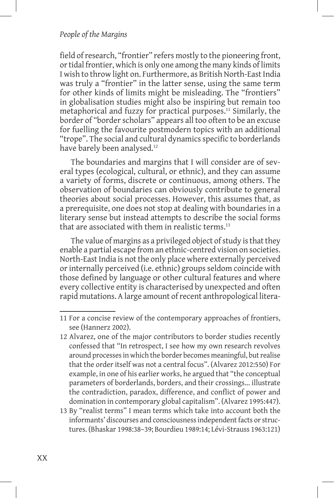field of research, "frontier" refers mostly to the pioneering front, or tidal frontier, which is only one among the many kinds of limits I wish to throw light on. Furthermore, as British North-East India was truly a "frontier" in the latter sense, using the same term for other kinds of limits might be misleading. The "frontiers" in globalisation studies might also be inspiring but remain too metaphorical and fuzzy for practical purposes.<sup>11</sup> Similarly, the border of "border scholars" appears all too often to be an excuse for fuelling the favourite postmodern topics with an additional "trope". The social and cultural dynamics specific to borderlands have barely been analysed.<sup>12</sup>

The boundaries and margins that I will consider are of several types (ecological, cultural, or ethnic), and they can assume a variety of forms, discrete or continuous, among others. The observation of boundaries can obviously contribute to general theories about social processes. However, this assumes that, as a prerequisite, one does not stop at dealing with boundaries in a literary sense but instead attempts to describe the social forms that are associated with them in realistic terms.<sup>13</sup>

The value of margins as a privileged object of study is that they enable a partial escape from an ethnic-centred vision on societies. North-East India is not the only place where externally perceived or internally perceived (i.e. ethnic) groups seldom coincide with those defined by language or other cultural features and where every collective entity is characterised by unexpected and often rapid mutations. A large amount of recent anthropological litera-

<sup>11</sup> For a concise review of the contemporary approaches of frontiers, see (Hannerz 2002).

<sup>12</sup> Alvarez, one of the major contributors to border studies recently confessed that "In retrospect, I see how my own research revolves around processes in which the border becomes meaningful, but realise that the order itself was not a central focus". (Alvarez 2012:550) For example, in one of his earlier works, he argued that "the conceptual parameters of borderlands, borders, and their crossings... illustrate the contradiction, paradox, difference, and conflict of power and domination in contemporary global capitalism". (Alvarez 1995:447).

<sup>13</sup> By "realist terms" I mean terms which take into account both the informants' discourses and consciousness independent facts or structures. (Bhaskar 1998:38–39; Bourdieu 1989:14; Lévi-Strauss 1963:121)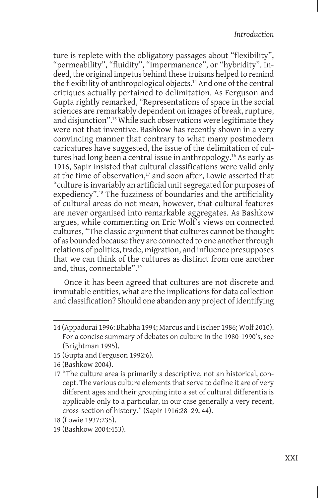ture is replete with the obligatory passages about "flexibility", "permeability", "fluidity", "impermanence", or "hybridity". Indeed, the original impetus behind these truisms helped to remind the flexibility of anthropological objects.<sup>14</sup> And one of the central critiques actually pertained to delimitation. As Ferguson and Gupta rightly remarked, "Representations of space in the social sciences are remarkably dependent on images of break, rupture, and disjunction".15 While such observations were legitimate they were not that inventive. Bashkow has recently shown in a very convincing manner that contrary to what many postmodern caricatures have suggested, the issue of the delimitation of cultures had long been a central issue in anthropology.16 As early as 1916, Sapir insisted that cultural classifications were valid only at the time of observation,<sup>17</sup> and soon after, Lowie asserted that "culture is invariably an artificial unit segregated for purposes of expediency".18 The fuzziness of boundaries and the artificiality of cultural areas do not mean, however, that cultural features are never organised into remarkable aggregates. As Bashkow argues, while commenting on Eric Wolf's views on connected cultures, "The classic argument that cultures cannot be thought of as bounded because they are connected to one another through relations of politics, trade, migration, and influence presupposes that we can think of the cultures as distinct from one another and, thus, connectable".19

Once it has been agreed that cultures are not discrete and immutable entities, what are the implications for data collection and classification? Should one abandon any project of identifying

<sup>14 (</sup>Appadurai 1996; Bhabha 1994; Marcus and Fischer 1986; Wolf 2010). For a concise summary of debates on culture in the 1980-1990's, see (Brightman 1995).

<sup>15 (</sup>Gupta and Ferguson 1992:6).

<sup>16 (</sup>Bashkow 2004).

<sup>17 &</sup>quot;The culture area is primarily a descriptive, not an historical, concept. The various culture elements that serve to define it are of very different ages and their grouping into a set of cultural differentia is applicable only to a particular, in our case generally a very recent, cross-section of history." (Sapir 1916:28–29, 44).

<sup>18 (</sup>Lowie 1937:235).

<sup>19 (</sup>Bashkow 2004:453).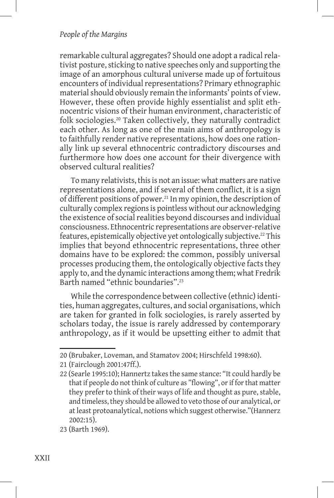remarkable cultural aggregates? Should one adopt a radical relativist posture, sticking to native speeches only and supporting the image of an amorphous cultural universe made up of fortuitous encounters of individual representations? Primary ethnographic material should obviously remain the informants' points of view. However, these often provide highly essentialist and split ethnocentric visions of their human environment, characteristic of folk sociologies.20 Taken collectively, they naturally contradict each other. As long as one of the main aims of anthropology is to faithfully render native representations, how does one rationally link up several ethnocentric contradictory discourses and furthermore how does one account for their divergence with observed cultural realities?

To many relativists, this is not an issue: what matters are native representations alone, and if several of them conflict, it is a sign of different positions of power.21 In my opinion, the description of culturally complex regions is pointless without our acknowledging the existence of social realities beyond discourses and individual consciousness. Ethnocentric representations are observer-relative features, epistemically objective yet ontologically subjective.22 This implies that beyond ethnocentric representations, three other domains have to be explored: the common, possibly universal processes producing them, the ontologically objective facts they apply to, and the dynamic interactions among them; what Fredrik Barth named "ethnic boundaries".23

While the correspondence between collective (ethnic) identities, human aggregates, cultures, and social organisations, which are taken for granted in folk sociologies, is rarely asserted by scholars today, the issue is rarely addressed by contemporary anthropology, as if it would be upsetting either to admit that

<sup>20 (</sup>Brubaker, Loveman, and Stamatov 2004; Hirschfeld 1998:60).

<sup>21 (</sup>Fairclough 2001:47ff.).

<sup>22 (</sup>Searle 1995:10); Hannertz takes the same stance: "It could hardly be that if people do not think of culture as "flowing", or if for that matter they prefer to think of their ways of life and thought as pure, stable, and timeless, they should be allowed to veto those of our analytical, or at least protoanalytical, notions which suggest otherwise."(Hannerz 2002:15).

<sup>23 (</sup>Barth 1969).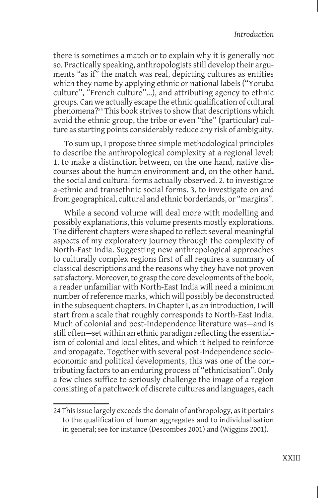there is sometimes a match or to explain why it is generally not so. Practically speaking, anthropologists still develop their arguments "as if" the match was real, depicting cultures as entities which they name by applying ethnic or national labels ("Yoruba culture", "French culture"...), and attributing agency to ethnic groups. Can we actually escape the ethnic qualification of cultural phenomena?24 This book strives to show that descriptions which avoid the ethnic group, the tribe or even "the" (particular) culture as starting points considerably reduce any risk of ambiguity.

To sum up, I propose three simple methodological principles to describe the anthropological complexity at a regional level: 1. to make a distinction between, on the one hand, native discourses about the human environment and, on the other hand, the social and cultural forms actually observed. 2. to investigate a-ethnic and transethnic social forms. 3. to investigate on and from geographical, cultural and ethnic borderlands, or "margins".

While a second volume will deal more with modelling and possibly explanations, this volume presents mostly explorations. The different chapters were shaped to reflect several meaningful aspects of my exploratory journey through the complexity of North-East India. Suggesting new anthropological approaches to culturally complex regions first of all requires a summary of classical descriptions and the reasons why they have not proven satisfactory. Moreover, to grasp the core developments of the book, a reader unfamiliar with North-East India will need a minimum number of reference marks, which will possibly be deconstructed in the subsequent chapters. In Chapter I, as an introduction, I will start from a scale that roughly corresponds to North-East India. Much of colonial and post-Independence literature was—and is still often—set within an ethnic paradigm reflecting the essentialism of colonial and local elites, and which it helped to reinforce and propagate. Together with several post-Independence socioeconomic and political developments, this was one of the contributing factors to an enduring process of "ethnicisation". Only a few clues suffice to seriously challenge the image of a region consisting of a patchwork of discrete cultures and languages, each

<sup>24</sup> This issue largely exceeds the domain of anthropology, as it pertains to the qualification of human aggregates and to individualisation in general; see for instance (Descombes 2001) and (Wiggins 2001).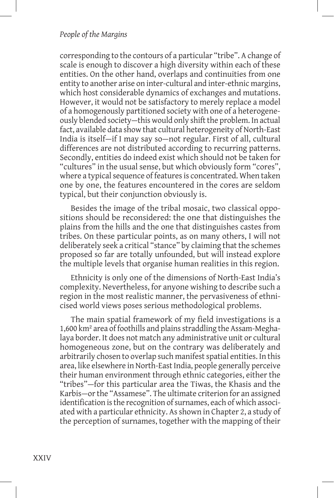corresponding to the contours of a particular "tribe". A change of scale is enough to discover a high diversity within each of these entities. On the other hand, overlaps and continuities from one entity to another arise on inter-cultural and inter-ethnic margins, which host considerable dynamics of exchanges and mutations. However, it would not be satisfactory to merely replace a model of a homogenously partitioned society with one of a heterogeneously blended society—this would only shift the problem. In actual fact, available data show that cultural heterogeneity of North-East India is itself—if I may say so—not regular. First of all, cultural differences are not distributed according to recurring patterns. Secondly, entities do indeed exist which should not be taken for "cultures" in the usual sense, but which obviously form "cores", where a typical sequence of features is concentrated. When taken one by one, the features encountered in the cores are seldom typical, but their conjunction obviously is.

Besides the image of the tribal mosaic, two classical oppositions should be reconsidered: the one that distinguishes the plains from the hills and the one that distinguishes castes from tribes. On these particular points, as on many others, I will not deliberately seek a critical "stance" by claiming that the schemes proposed so far are totally unfounded, but will instead explore the multiple levels that organise human realities in this region.

Ethnicity is only one of the dimensions of North-East India's complexity. Nevertheless, for anyone wishing to describe such a region in the most realistic manner, the pervasiveness of ethnicised world views poses serious methodological problems.

The main spatial framework of my field investigations is a 1,600 km² area of foothills and plains straddling the Assam-Meghalaya border. It does not match any administrative unit or cultural homogeneous zone, but on the contrary was deliberately and arbitrarily chosen to overlap such manifest spatial entities. In this area, like elsewhere in North-East India, people generally perceive their human environment through ethnic categories, either the "tribes"—for this particular area the Tiwas, the Khasis and the Karbis—or the "Assamese". The ultimate criterion for an assigned identification is the recognition of surnames, each of which associated with a particular ethnicity. As shown in Chapter 2, a study of the perception of surnames, together with the mapping of their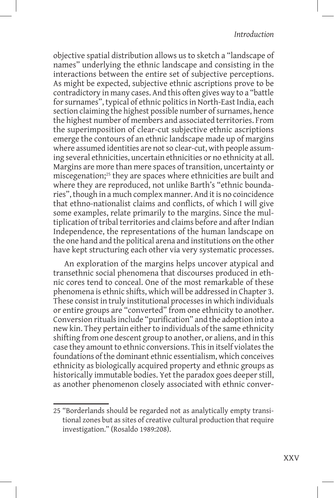objective spatial distribution allows us to sketch a "landscape of names" underlying the ethnic landscape and consisting in the interactions between the entire set of subjective perceptions. As might be expected, subjective ethnic ascriptions prove to be contradictory in many cases. And this often gives way to a "battle for surnames", typical of ethnic politics in North-East India, each section claiming the highest possible number of surnames, hence the highest number of members and associated territories. From the superimposition of clear-cut subjective ethnic ascriptions emerge the contours of an ethnic landscape made up of margins where assumed identities are not so clear-cut, with people assuming several ethnicities, uncertain ethnicities or no ethnicity at all. Margins are more than mere spaces of transition, uncertainty or miscegenation;<sup>25</sup> they are spaces where ethnicities are built and where they are reproduced, not unlike Barth's "ethnic boundaries", though in a much complex manner. And it is no coincidence that ethno-nationalist claims and conflicts, of which I will give some examples, relate primarily to the margins. Since the multiplication of tribal territories and claims before and after Indian Independence, the representations of the human landscape on the one hand and the political arena and institutions on the other have kept structuring each other via very systematic processes.

An exploration of the margins helps uncover atypical and transethnic social phenomena that discourses produced in ethnic cores tend to conceal. One of the most remarkable of these phenomena is ethnic shifts, which will be addressed in Chapter 3. These consist in truly institutional processes in which individuals or entire groups are "converted" from one ethnicity to another. Conversion ritualsinclude "purification" and the adoption into a new kin. They pertain either to individuals of the same ethnicity shifting from one descent group to another, or aliens, and in this case they amount to ethnic conversions. This in itself violates the foundations of the dominant ethnic essentialism, which conceives ethnicity as biologically acquired property and ethnic groups as historically immutable bodies. Yet the paradox goes deeper still, as another phenomenon closely associated with ethnic conver-

<sup>25 &</sup>quot;Borderlands should be regarded not as analytically empty transitional zones but as sites of creative cultural production that require investigation." (Rosaldo 1989:208).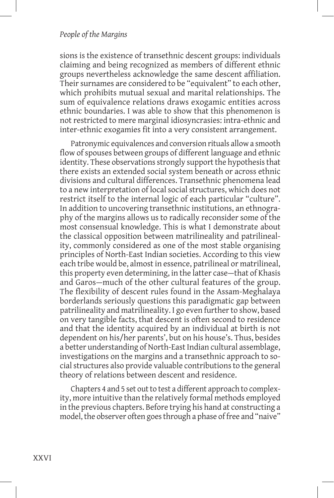sions is the existence of transethnic descent groups: individuals claiming and being recognized as members of different ethnic groups nevertheless acknowledge the same descent affiliation. Their surnames are considered to be "equivalent" to each other, which prohibits mutual sexual and marital relationships. The sum of equivalence relations draws exogamic entities across ethnic boundaries. I was able to show that this phenomenon is not restricted to mere marginal idiosyncrasies: intra-ethnic and inter-ethnic exogamies fit into a very consistent arrangement.

Patronymic equivalences and conversion rituals allow a smooth flow of spouses between groups of different language and ethnic identity. These observations strongly support the hypothesis that there exists an extended social system beneath or across ethnic divisions and cultural differences. Transethnic phenomena lead to a new interpretation of local social structures, which does not restrict itself to the internal logic of each particular "culture". In addition to uncovering transethnic institutions, an ethnography of the margins allows us to radically reconsider some of the most consensual knowledge. This is what I demonstrate about the classical opposition between matrilineality and patrilineality, commonly considered as one of the most stable organising principles of North-East Indian societies. According to this view each tribe would be, almost in essence, patrilineal or matrilineal, this property even determining, in the latter case—that of Khasis and Garos—much of the other cultural features of the group. The flexibility of descent rules found in the Assam-Meghalaya borderlands seriously questions this paradigmatic gap between patrilineality and matrilineality. I go even further to show, based on very tangible facts, that descent is often second to residence and that the identity acquired by an individual at birth is not dependent on his/her parents', but on his house's. Thus, besides a better understanding of North-East Indian cultural assemblage, investigations on the margins and a transethnic approach to social structures also provide valuable contributions to the general theory of relations between descent and residence.

Chapters 4 and 5 set out to test a different approach to complexity, more intuitive than the relatively formal methods employed in the previous chapters. Before trying his hand at constructing a model, the observer often goes through a phase of free and "naive"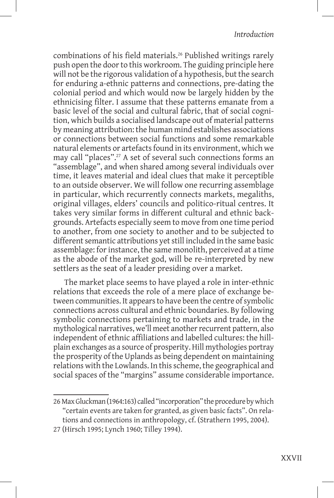combinations of his field materials.<sup>26</sup> Published writings rarely push open the door to this workroom. The guiding principle here will not be the rigorous validation of a hypothesis, but the search for enduring a-ethnic patterns and connections, pre-dating the colonial period and which would now be largely hidden by the ethnicising filter. I assume that these patterns emanate from a basic level of the social and cultural fabric, that of social cognition, which builds a socialised landscape out of material patterns by meaning attribution: the human mind establishes associations or connections between social functions and some remarkable natural elements or artefacts found in its environment, which we may call "places".27 A set of several such connections forms an "assemblage", and when shared among several individuals over time, it leaves material and ideal clues that make it perceptible to an outside observer. We will follow one recurring assemblage in particular, which recurrently connects markets, megaliths, original villages, elders' councils and politico-ritual centres. It takes very similar forms in different cultural and ethnic backgrounds. Artefacts especially seem to move from one time period to another, from one society to another and to be subjected to different semantic attributions yet still included in the same basic assemblage: for instance, the same monolith, perceived at a time as the abode of the market god, will be re-interpreted by new settlers as the seat of a leader presiding over a market.

The market place seems to have played a role in inter-ethnic relations that exceeds the role of a mere place of exchange between communities. It appears to have been the centre of symbolic connections across cultural and ethnic boundaries. By following symbolic connections pertaining to markets and trade, in the mythological narratives, we'll meet another recurrent pattern, also independent of ethnic affiliations and labelled cultures: the hillplain exchanges as a source of prosperity. Hill mythologies portray the prosperity of the Uplands as being dependent on maintaining relations with the Lowlands. In this scheme, the geographical and social spaces of the "margins" assume considerable importance.

<sup>26</sup> Max Gluckman (1964:163) called "incorporation" the procedure by which "certain events are taken for granted, as given basic facts". On relations and connections in anthropology, cf. (Strathern 1995, 2004).

<sup>27 (</sup>Hirsch 1995; Lynch 1960; Tilley 1994).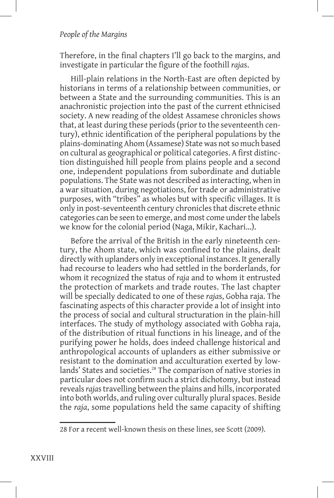Therefore, in the final chapters I'll go back to the margins, and investigate in particular the figure of the foothill *raja*s.

Hill-plain relations in the North-East are often depicted by historians in terms of a relationship between communities, or between a State and the surrounding communities. This is an anachronistic projection into the past of the current ethnicised society. A new reading of the oldest Assamese chronicles shows that, at least during these periods (prior to the seventeenth century), ethnic identification of the peripheral populations by the plains-dominating Ahom (Assamese) State was not so much based on cultural as geographical or political categories. A first distinction distinguished hill people from plains people and a second one, independent populations from subordinate and dutiable populations. The State was not described as interacting, when in a war situation, during negotiations, for trade or administrative purposes, with "tribes" as wholes but with specific villages. It is only in post-seventeenth century chronicles that discrete ethnic categories can be seen to emerge, and most come under the labels we know for the colonial period (Naga, Mikir, Kachari...).

Before the arrival of the British in the early nineteenth century, the Ahom state, which was confined to the plains, dealt directly with uplanders only in exceptional instances. It generally had recourse to leaders who had settled in the borderlands, for whom it recognized the status of *raja* and to whom it entrusted the protection of markets and trade routes. The last chapter will be specially dedicated to one of these *raja*s, Gobha raja. The fascinating aspects of this character provide a lot of insight into the process of social and cultural structuration in the plain-hill interfaces. The study of mythology associated with Gobha raja, of the distribution of ritual functions in his lineage, and of the purifying power he holds, does indeed challenge historical and anthropological accounts of uplanders as either submissive or resistant to the domination and acculturation exerted by lowlands' States and societies.<sup>28</sup> The comparison of native stories in particular does not confirm such a strict dichotomy, but instead reveals *raja*s travelling between the plains and hills, incorporated into both worlds, and ruling over culturally plural spaces. Beside the *raja*, some populations held the same capacity of shifting

<sup>28</sup> For a recent well-known thesis on these lines, see Scott (2009).